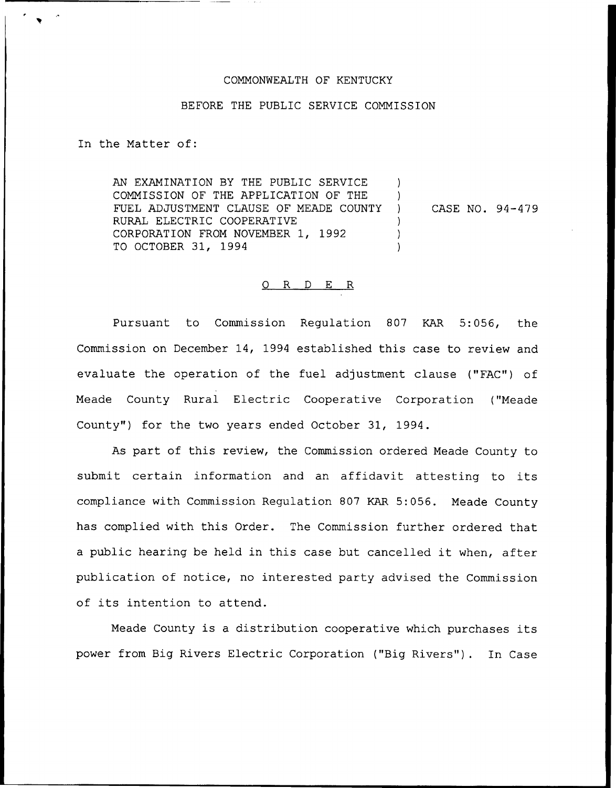## COMMONWEALTH OF KENTUCKY

#### BEFORE THE PUBLIC SERVICE COMMISSION

In the Matter of:

AN EXAMINATION BY THE PUBLIC SERVICE COMMISSION OF THE APPLICATION OF THE FUEL ADJUSTMENT CLAUSE OF MEADE COUNTY RURAL ELECTRIC COOPERATIVE CORPORATION FROM NOVEMBER 1, 1992 TO OCTOBER 31, 1994  $\left( \right)$ ) ) CASE NO. 94-479 ) ) )

# 0 R <sup>D</sup> E R

Pursuant to Commission Regulation 807 KAR 5:056, the Commission on December 14, 1994 established this case to review and evaluate the operation of the fuel adjustment clause ("FAC") of Meade County Rural Electric Cooperative Corporation ("Meade County") for the two years ended October 31, 1994.

As part of this review, the Commission ordered Meade County to submit certain information and an affidavit attesting to its compliance with Commission Regulation 807 KAR 5:056. Meade County has complied with this Order. The Commission further ordered that <sup>a</sup> public hearing be held in this case but cancelled it when, after publication of notice, no interested party advised the Commission of its intention to attend.

Meade County is <sup>a</sup> distribution cooperative which purchases its power from Big Rivers Electric Corporation ("Big Rivers"). In Case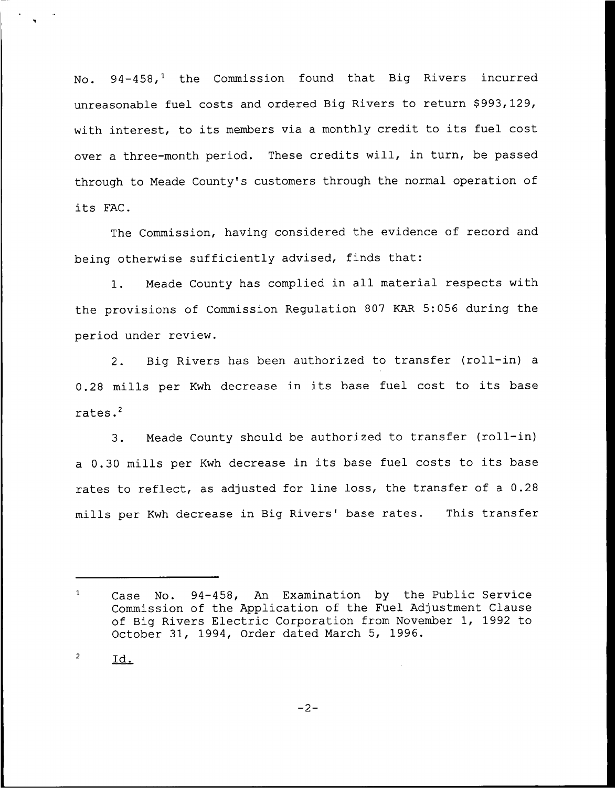No. 94-458,<sup>1</sup> the Commission found that Big Rivers incurred unreasonable fuel costs and ordered Big Rivers to return \$993,129, with interest, to its members via <sup>a</sup> monthly credit to its fuel cost over a three-month period. These credits will, in turn, be passed through to Meade County's customers through the normal operation of its FAC.

The Commission, having considered the evidence of record and being otherwise sufficiently advised, finds that:

1. Meade County has complied in all material respects with the provisions of Commission Regulation 807 KAR 5:056 during the period under review.

2. Big Rivers has been authorized to transfer (roll-in) <sup>a</sup> 0.28 mills per Kwh decrease in its base fuel cost to its base rates.'.

Meade County should be authorized to transfer (roll-in)  $3.$ <sup>a</sup> 0.30 mills per Kwh decrease in its base fuel costs to its base rates to reflect, as adjusted for line loss, the transfer of <sup>a</sup> 0.28 mills per Kwh decrease in Big Rivers' base rates. This transfer

 $\mathbf 2$ Id.

 $\mathbf{1}$ Case No. 94-458, An. Examination by the Public Service Commission of the Application of the Fuel Adjustment Clause of Big Rivers Electric Corporation from November 1, 1992 to October 31, 1994, Order dated March 5, 1996.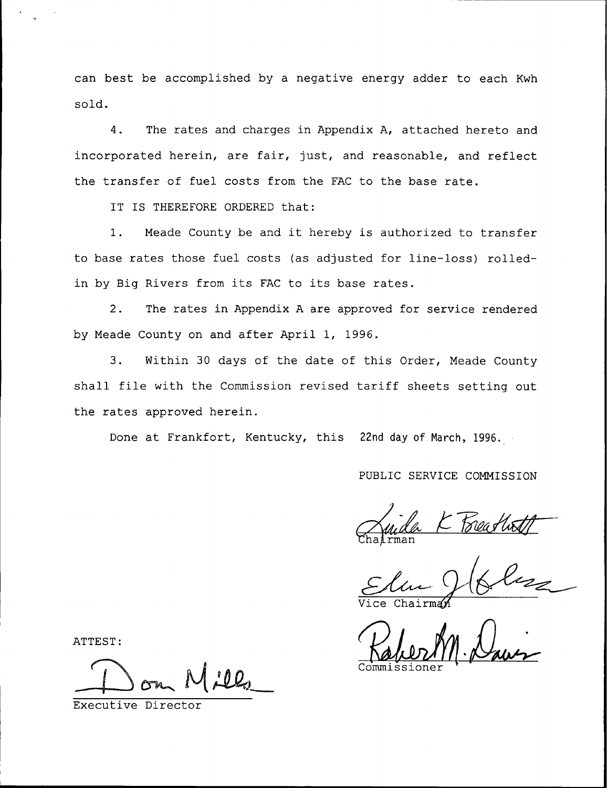can best be accomplished by a negative energy adder to each Kwh sold.

4. The rates and charges in Appendix A, attached hereto and incorporated herein, are fair, just, and reasonable, and reflect the transfer of fuel costs from the FAC to the base rate.

IT IS THEREFORE ORDERED that:

1. Meade County be and it hereby is authorized to transfer to base rates those fuel costs (as adjusted for line-loss) rolledin by Big Rivers from its FAC to its base rates.

2. The rates in Appendix <sup>A</sup> are approved for service rendered by Meade County on and after April 1, 1996.

3. Within 30 days of the date of this Order, Meade County shall file with the Commission revised tariff sheets setting out the rates approved herein.

Done at Frankfort, Kentucky, this 22nd day of March, 1996.

## PUBLIC SERVICE COMMISSION

man La K Beathoff

ATTEST

Executive Director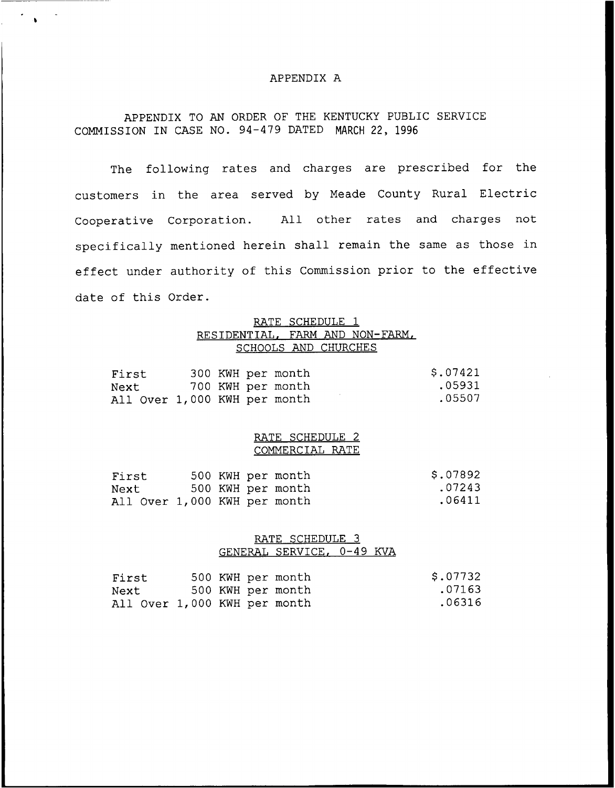#### APPENDIX A

# APPENDIX TO AN ORDER OF THE KENTUCKY PUBLIC SERVICE COMMISSION IN CASE NO. 94-479 DATED MARCH 22, 1996

The following rates and charges are prescribed for the customers in the area served by Meade County Rural Electric Cooperative Corporation. All other rates and charges not specifically mentioned herein shall remain the same as those in effect under authority of this Commission prior to the effective date of this Order.

### RATE SCHEDULE 1 RESIDENTIAL. FARM AND NON-FARM, SCHOOLS AND CHURCHES

| First                        |  | 300 KWH per month | \$.07421 |
|------------------------------|--|-------------------|----------|
| Next                         |  | 700 KWH per month | .05931   |
| All Over 1,000 KWH per month |  |                   | .05507   |

#### RATE SCHEDULE 2 COMMERCIAL RATE

| First                        |  | 500 KWH per month | \$.07892 |
|------------------------------|--|-------------------|----------|
| Next                         |  | 500 KWH per month | .07243   |
| All Over 1,000 KWH per month |  |                   | .06411   |

### RATE SCHEDULE 3 GENERAL SERVICE, 0-49 KVA

| First                        |  | 500 KWH per month | \$.07732 |
|------------------------------|--|-------------------|----------|
| Next                         |  | 500 KWH per month | .07163   |
| All Over 1,000 KWH per month |  |                   | .06316   |